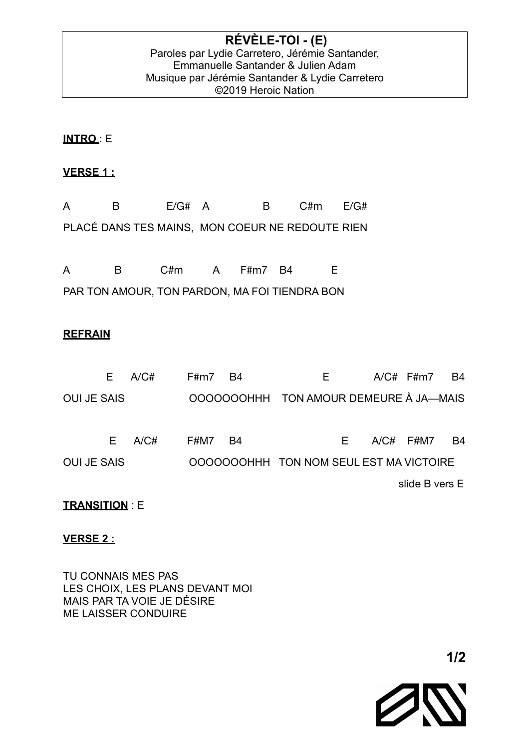## **INTRO** : E

# **VERSE 1 :**

| A B |                                                 | E/G# A | B C#m E/G# |  |
|-----|-------------------------------------------------|--------|------------|--|
|     | PLACÉ DANS TES MAINS, MON COEUR NE REDOUTE RIEN |        |            |  |

A B C#m A F#m7 B4 E PAR TON AMOUR, TON PARDON, MA FOI TIENDRA BON

## **REFRAIN**

| F.                 | A/C# | F#m7 | B4 | E.                                      |  | $A/C#$ F#m7    | - B4 |
|--------------------|------|------|----|-----------------------------------------|--|----------------|------|
| <b>OUI JE SAIS</b> |      |      |    | OOOOOOOHHH TON AMOUR DEMEURE À JA—MAIS  |  |                |      |
|                    |      |      |    |                                         |  |                |      |
| E.                 | A/CH | F#M7 | B4 | E                                       |  | $A/C#$ F#M7    | B4   |
| <b>OUI JE SAIS</b> |      |      |    | OOOOOOOHHH TON NOM SEUL EST MA VICTOIRE |  |                |      |
|                    |      |      |    |                                         |  | slide B vers E |      |

## **TRANSITION** : E

## **VERSE 2 :**

TU CONNAIS MES PAS LES CHOIX, LES PLANS DEVANT MOI MAIS PAR TA VOIE JE DÉSIRE ME LAISSER CONDUIRE

 **1/2**